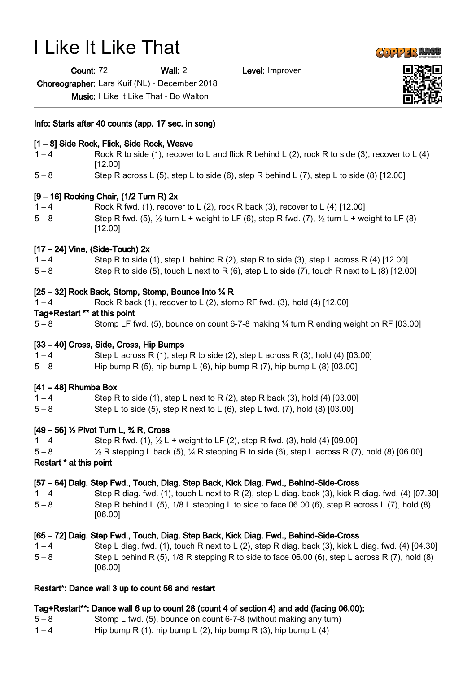# I Like It Like That

Count: 72 Wall: 2 Level: Improver

Choreographer: Lars Kuif (NL) - December 2018

Music: I Like It Like That - Bo Walton

Info: Starts after 40 counts (app. 17 sec. in song)

#### [1 – 8] Side Rock, Flick, Side Rock, Weave

- $1 4$  Rock R to side (1), recover to L and flick R behind L (2), rock R to side (3), recover to L (4) [12.00]
- $5 8$  Step R across L (5), step L to side (6), step R behind L (7), step L to side (8) [12.00]

#### [9 – 16] Rocking Chair, (1/2 Turn R) 2x

 $1 - 4$  Rock R fwd. (1), recover to L (2), rock R back (3), recover to L (4) [12.00]  $5-8$  Step R fwd. (5),  $\frac{1}{2}$  turn L + weight to LF (6), step R fwd. (7),  $\frac{1}{2}$  turn L + weight to LF (8) [12.00]

#### $[17 - 24]$  Vine, (Side-Touch)  $2x$

- $1 4$  Step R to side (1), step L behind R (2), step R to side (3), step L across R (4) [12.00]
- 5 8 Step R to side (5), touch L next to R (6), step L to side (7), touch R next to L (8) [12.00]

#### [25 – 32] Rock Back, Stomp, Stomp, Bounce Into ¼ R

1 – 4 Rock R back (1), recover to L (2), stomp RF fwd. (3), hold (4) [12.00]

#### Tag+Restart \*\* at this point

5 – 8 Stomp LF fwd. (5), bounce on count 6-7-8 making ¼ turn R ending weight on RF [03.00]

## [33 – 40] Cross, Side, Cross, Hip Bumps

 $1 - 4$  Step L across R (1), step R to side (2), step L across R (3), hold (4) [03.00]

5 – 8 Hip bump R (5), hip bump L (6), hip bump R (7), hip bump L (8) [03.00]

## [41 – 48] Rhumba Box

- $1 4$  Step R to side (1), step L next to R (2), step R back (3), hold (4) [03.00]
- $5 8$  Step L to side (5), step R next to L (6), step L fwd. (7), hold (8) [03.00]

## [49 – 56] ½ Pivot Turn L, ¾ R, Cross

- 1 4 Step R fwd. (1),  $\frac{1}{2}$  L + weight to LF (2), step R fwd. (3), hold (4) [09.00]
- $5-8$   $\frac{1}{2}$  R stepping L back (5),  $\frac{1}{4}$  R stepping R to side (6), step L across R (7), hold (8) [06.00]
- Restart \* at this point

# [57 – 64] Daig. Step Fwd., Touch, Diag. Step Back, Kick Diag. Fwd., Behind-Side-Cross

1 – 4 Step R diag. fwd. (1), touch L next to R (2), step L diag. back (3), kick R diag. fwd. (4) [07.30] 5 – 8 Step R behind L (5), 1/8 L stepping L to side to face 06.00 (6), step R across L (7), hold (8) [06.00]

## [65 – 72] Daig. Step Fwd., Touch, Diag. Step Back, Kick Diag. Fwd., Behind-Side-Cross

1 – 4 Step L diag. fwd. (1), touch R next to L (2), step R diag. back (3), kick L diag. fwd. (4) [04.30] 5 – 8 Step L behind R (5), 1/8 R stepping R to side to face 06.00 (6), step L across R (7), hold (8) [06.00]

# Restart\*: Dance wall 3 up to count 56 and restart

## Tag+Restart\*\*: Dance wall 6 up to count 28 (count 4 of section 4) and add (facing 06.00):

- 5 8 Stomp L fwd. (5), bounce on count 6-7-8 (without making any turn)
- $1-4$  Hip bump R (1), hip bump L (2), hip bump R (3), hip bump L (4)